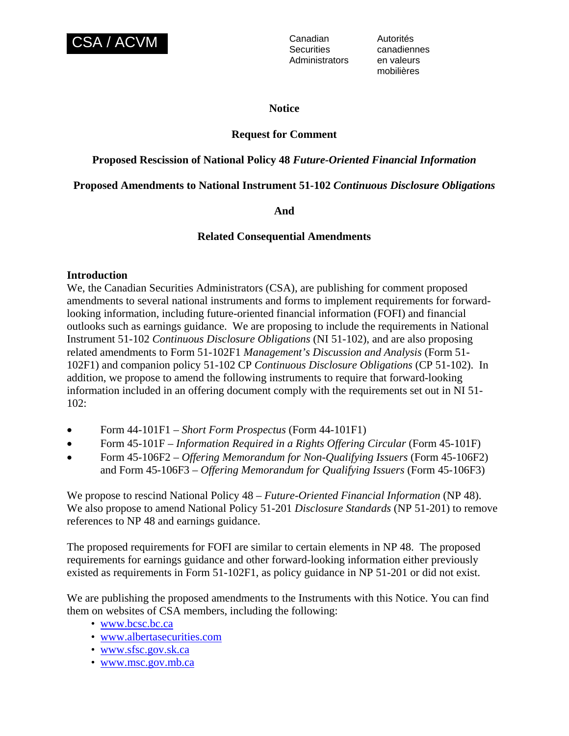

**Securities** Administrators en valeurs

Autorités canadiennes mobilières

#### **Notice**

## **Request for Comment**

## **Proposed Rescission of National Policy 48** *Future-Oriented Financial Information*

## **Proposed Amendments to National Instrument 51-102** *Continuous Disclosure Obligations*

## **And**

## **Related Consequential Amendments**

#### **Introduction**

We, the Canadian Securities Administrators (CSA), are publishing for comment proposed amendments to several national instruments and forms to implement requirements for forwardlooking information, including future-oriented financial information (FOFI) and financial outlooks such as earnings guidance. We are proposing to include the requirements in National Instrument 51-102 *Continuous Disclosure Obligations* (NI 51-102), and are also proposing related amendments to Form 51-102F1 *Management's Discussion and Analysis* (Form 51- 102F1) and companion policy 51-102 CP *Continuous Disclosure Obligations* (CP 51-102). In addition, we propose to amend the following instruments to require that forward-looking information included in an offering document comply with the requirements set out in NI 51- 102:

- Form 44-101F1 *Short Form Prospectus* (Form 44-101F1)
- Form 45-101F *Information Required in a Rights Offering Circular* (Form 45-101F)
- Form 45-106F2 *Offering Memorandum for Non-Qualifying Issuers* (Form 45-106F2) and Form 45-106F3 – *Offering Memorandum for Qualifying Issuers* (Form 45-106F3)

We propose to rescind National Policy 48 – *Future-Oriented Financial Information* (NP 48). We also propose to amend National Policy 51-201 *Disclosure Standards* (NP 51-201) to remove references to NP 48 and earnings guidance.

The proposed requirements for FOFI are similar to certain elements in NP 48. The proposed requirements for earnings guidance and other forward-looking information either previously existed as requirements in Form 51-102F1, as policy guidance in NP 51-201 or did not exist.

We are publishing the proposed amendments to the Instruments with this Notice. You can find them on websites of CSA members, including the following:

- [www.bcsc.bc.ca](http://www.bcsc.bc.ca/)
- [www.albertasecurities.com](http://www.albertasecurities.com/)
- [www.sfsc.gov.sk.ca](http://www.sfsc.gov.sk.ca/)
- [www.msc.gov.mb.ca](http://www.msc.gov.mb.ca/)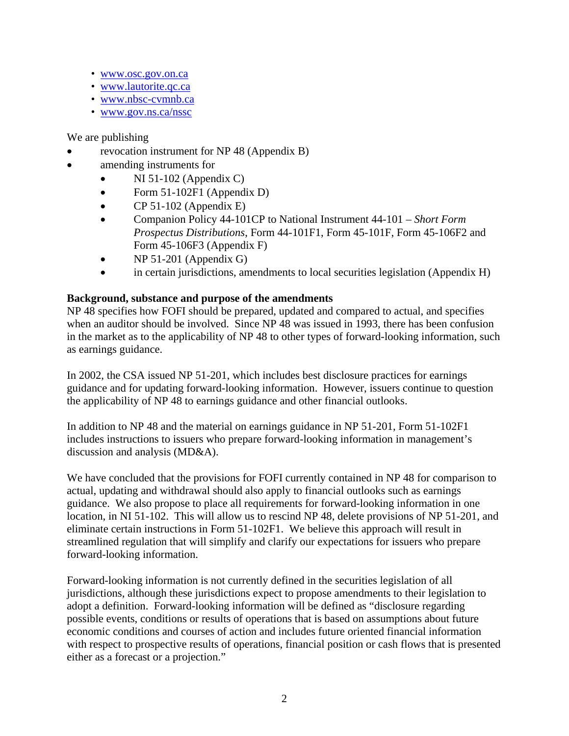- [www.osc.gov.on.ca](http://www.osc.gov.on.ca/)
- [www.lautorite.qc.ca](http://www.lautorite.qc.ca/)
- [www.nbsc-cvmnb.ca](http://www.nbsc-cvmnb.ca/)
- [www.gov.ns.ca/nssc](http://www.gov.ns.ca/nssc)

# We are publishing

- revocation instrument for NP 48 (Appendix B)
- amending instruments for
	- NI 51-102 (Appendix C)
	- Form 51-102F1 (Appendix D)
	- CP 51-102 (Appendix E)
	- Companion Policy 44-101CP to National Instrument 44-101 *Short Form Prospectus Distributions*, Form 44-101F1, Form 45-101F, Form 45-106F2 and Form 45-106F3 (Appendix F)
	- NP 51-201 (Appendix G)
	- in certain jurisdictions, amendments to local securities legislation (Appendix H)

# **Background, substance and purpose of the amendments**

NP 48 specifies how FOFI should be prepared, updated and compared to actual, and specifies when an auditor should be involved. Since NP 48 was issued in 1993, there has been confusion in the market as to the applicability of NP 48 to other types of forward-looking information, such as earnings guidance.

In 2002, the CSA issued NP 51-201, which includes best disclosure practices for earnings guidance and for updating forward-looking information. However, issuers continue to question the applicability of NP 48 to earnings guidance and other financial outlooks.

In addition to NP 48 and the material on earnings guidance in NP 51-201, Form 51-102F1 includes instructions to issuers who prepare forward-looking information in management's discussion and analysis (MD&A).

We have concluded that the provisions for FOFI currently contained in NP 48 for comparison to actual, updating and withdrawal should also apply to financial outlooks such as earnings guidance. We also propose to place all requirements for forward-looking information in one location, in NI 51-102. This will allow us to rescind NP 48, delete provisions of NP 51-201, and eliminate certain instructions in Form 51-102F1. We believe this approach will result in streamlined regulation that will simplify and clarify our expectations for issuers who prepare forward-looking information.

Forward-looking information is not currently defined in the securities legislation of all jurisdictions, although these jurisdictions expect to propose amendments to their legislation to adopt a definition. Forward-looking information will be defined as "disclosure regarding possible events, conditions or results of operations that is based on assumptions about future economic conditions and courses of action and includes future oriented financial information with respect to prospective results of operations, financial position or cash flows that is presented either as a forecast or a projection."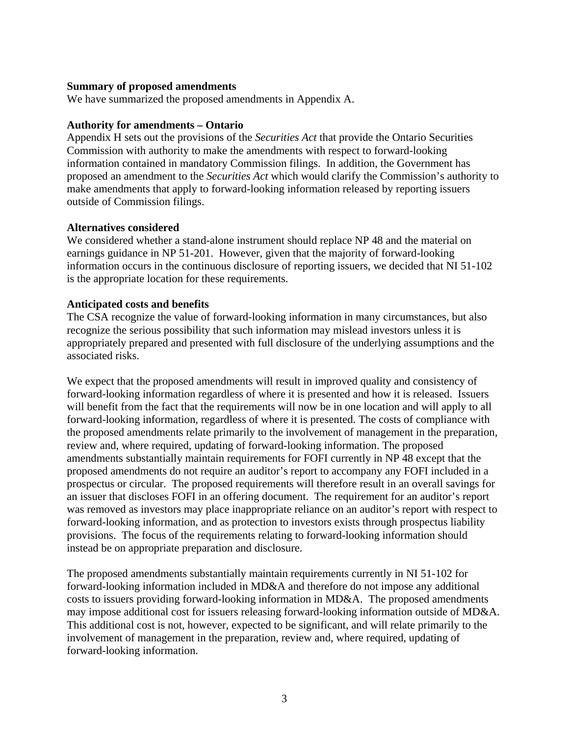## **Summary of proposed amendments**

We have summarized the proposed amendments in Appendix A.

## **Authority for amendments – Ontario**

Appendix H sets out the provisions of the *Securities Act* that provide the Ontario Securities Commission with authority to make the amendments with respect to forward-looking information contained in mandatory Commission filings. In addition, the Government has proposed an amendment to the *Securities Act* which would clarify the Commission's authority to make amendments that apply to forward-looking information released by reporting issuers outside of Commission filings.

## **Alternatives considered**

We considered whether a stand-alone instrument should replace NP 48 and the material on earnings guidance in NP 51-201. However, given that the majority of forward-looking information occurs in the continuous disclosure of reporting issuers, we decided that NI 51-102 is the appropriate location for these requirements.

## **Anticipated costs and benefits**

The CSA recognize the value of forward-looking information in many circumstances, but also recognize the serious possibility that such information may mislead investors unless it is appropriately prepared and presented with full disclosure of the underlying assumptions and the associated risks.

We expect that the proposed amendments will result in improved quality and consistency of forward-looking information regardless of where it is presented and how it is released. Issuers will benefit from the fact that the requirements will now be in one location and will apply to all forward-looking information, regardless of where it is presented. The costs of compliance with the proposed amendments relate primarily to the involvement of management in the preparation, review and, where required, updating of forward-looking information. The proposed amendments substantially maintain requirements for FOFI currently in NP 48 except that the proposed amendments do not require an auditor's report to accompany any FOFI included in a prospectus or circular. The proposed requirements will therefore result in an overall savings for an issuer that discloses FOFI in an offering document. The requirement for an auditor's report was removed as investors may place inappropriate reliance on an auditor's report with respect to forward-looking information, and as protection to investors exists through prospectus liability provisions. The focus of the requirements relating to forward-looking information should instead be on appropriate preparation and disclosure.

The proposed amendments substantially maintain requirements currently in NI 51-102 for forward-looking information included in MD&A and therefore do not impose any additional costs to issuers providing forward-looking information in MD&A. The proposed amendments may impose additional cost for issuers releasing forward-looking information outside of MD&A. This additional cost is not, however, expected to be significant, and will relate primarily to the involvement of management in the preparation, review and, where required, updating of forward-looking information.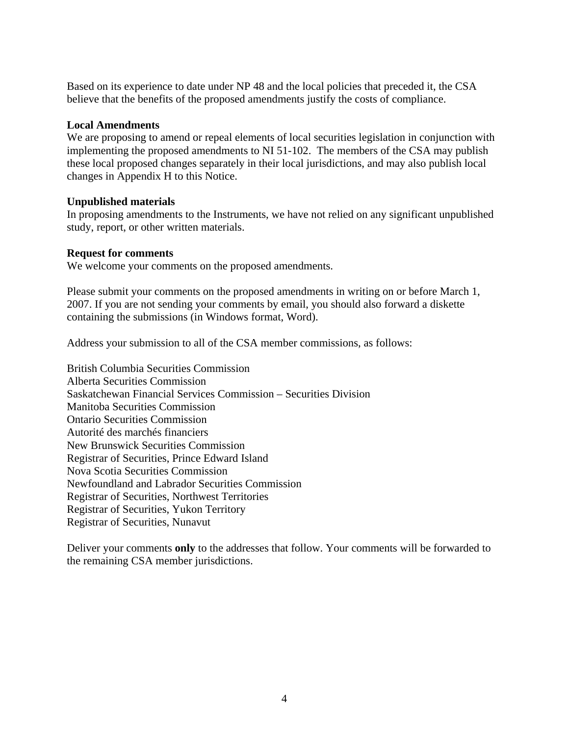Based on its experience to date under NP 48 and the local policies that preceded it, the CSA believe that the benefits of the proposed amendments justify the costs of compliance.

## **Local Amendments**

We are proposing to amend or repeal elements of local securities legislation in conjunction with implementing the proposed amendments to NI 51-102. The members of the CSA may publish these local proposed changes separately in their local jurisdictions, and may also publish local changes in Appendix H to this Notice.

## **Unpublished materials**

In proposing amendments to the Instruments, we have not relied on any significant unpublished study, report, or other written materials.

## **Request for comments**

We welcome your comments on the proposed amendments.

Please submit your comments on the proposed amendments in writing on or before March 1, 2007. If you are not sending your comments by email, you should also forward a diskette containing the submissions (in Windows format, Word).

Address your submission to all of the CSA member commissions, as follows:

British Columbia Securities Commission Alberta Securities Commission Saskatchewan Financial Services Commission – Securities Division Manitoba Securities Commission Ontario Securities Commission Autorité des marchés financiers New Brunswick Securities Commission Registrar of Securities, Prince Edward Island Nova Scotia Securities Commission Newfoundland and Labrador Securities Commission Registrar of Securities, Northwest Territories Registrar of Securities, Yukon Territory Registrar of Securities, Nunavut

Deliver your comments **only** to the addresses that follow. Your comments will be forwarded to the remaining CSA member jurisdictions.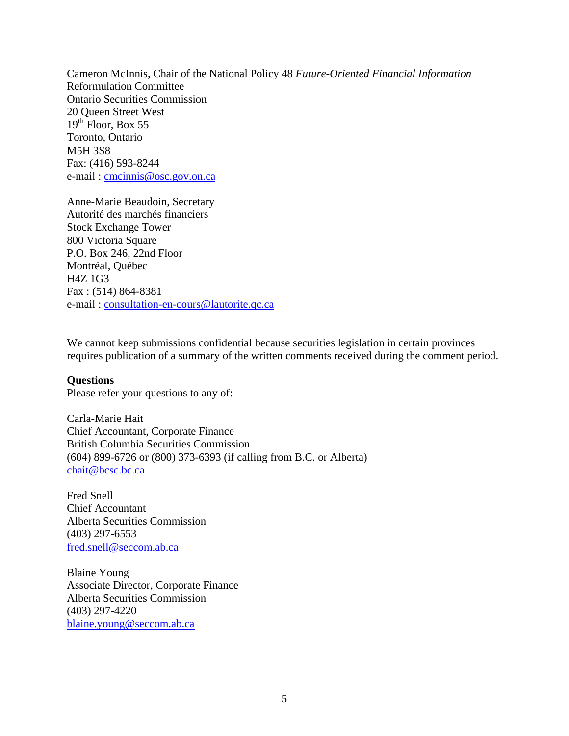Cameron McInnis, Chair of the National Policy 48 *Future-Oriented Financial Information* Reformulation Committee Ontario Securities Commission 20 Queen Street West  $19<sup>th</sup>$  Floor, Box 55 Toronto, Ontario M5H 3S8 Fax: (416) 593-8244 e-mail: [cmcinnis@osc.gov.on.ca](mailto:cmcinnis@osc.gov.on.ca)

Anne-Marie Beaudoin, Secretary Autorité des marchés financiers Stock Exchange Tower 800 Victoria Square P.O. Box 246, 22nd Floor Montréal, Québec H4Z 1G3 Fax : (514) 864-8381 e-mail : [consultation-en-cours@lautorite.qc.ca](mailto:consultation-en-cours@lautorite.qc.ca) 

We cannot keep submissions confidential because securities legislation in certain provinces requires publication of a summary of the written comments received during the comment period.

## **Questions**

Please refer your questions to any of:

Carla-Marie Hait Chief Accountant, Corporate Finance British Columbia Securities Commission (604) 899-6726 or (800) 373-6393 (if calling from B.C. or Alberta) [chait@bcsc.bc.ca](mailto:chait@bcsc.bc.ca) 

Fred Snell Chief Accountant Alberta Securities Commission (403) 297-6553 [fred.snell@seccom.ab.ca](mailto:fred.snell@seccom.ab.ca)

Blaine Young Associate Director, Corporate Finance Alberta Securities Commission (403) 297-4220 [blaine.young@seccom.ab.ca](mailto:blaine.young@seccom.ab.ca)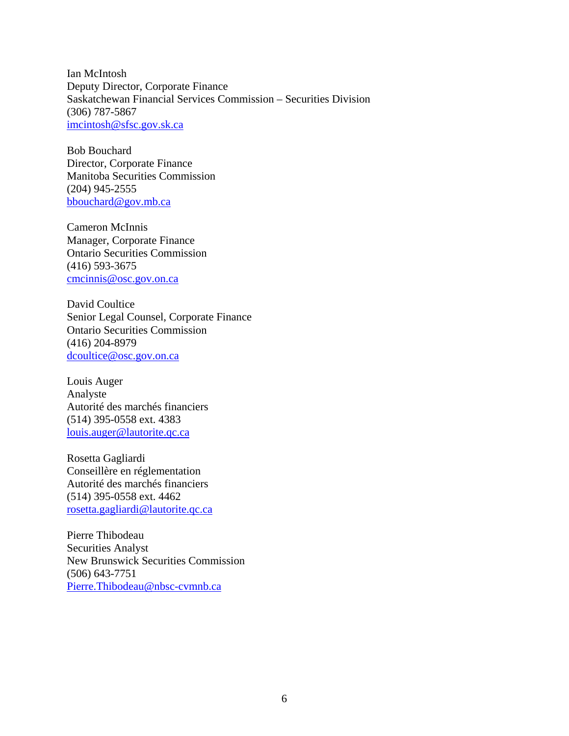Ian McIntosh Deputy Director, Corporate Finance Saskatchewan Financial Services Commission – Securities Division (306) 787-5867 [imcintosh@sfsc.gov.sk.ca](mailto:imcintosh@sfsc.gov.sk.ca)

Bob Bouchard Director, Corporate Finance Manitoba Securities Commission (204) 945-2555 [bbouchard@gov.mb.ca](mailto:bbouchard@gov.mb.ca) 

Cameron McInnis Manager, Corporate Finance Ontario Securities Commission (416) 593-3675 [cmcinnis@osc.gov.on.ca](mailto:cmcinnis@osc.gov.on.ca)

David Coultice Senior Legal Counsel, Corporate Finance Ontario Securities Commission (416) 204-8979 [dcoultice@osc.gov.on.ca](mailto:dcoultice@osc.gov.on.ca) 

Louis Auger Analyste Autorité des marchés financiers (514) 395-0558 ext. 4383 [louis.auger@lautorite.qc.ca](mailto:louis.auger@lautorite.qc.ca)

Rosetta Gagliardi Conseillère en réglementation Autorité des marchés financiers (514) 395-0558 ext. 4462 [rosetta.gagliardi@lautorite.qc.ca](mailto:rosetta.gagliardi@lautorite.qc.ca) 

Pierre Thibodeau Securities Analyst New Brunswick Securities Commission (506) 643-7751 [Pierre.Thibodeau@nbsc-cvmnb.ca](mailto:Pierre.Thibodeau@nbsc-cvmnb.ca)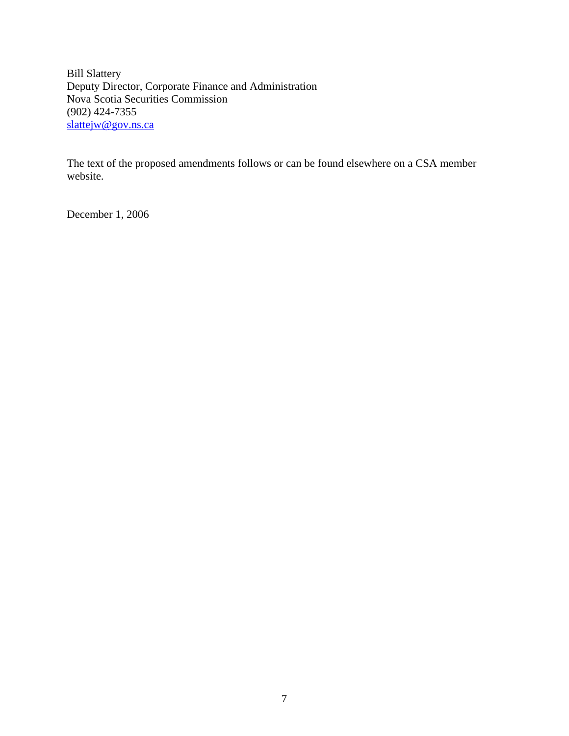Bill Slattery Deputy Director, Corporate Finance and Administration Nova Scotia Securities Commission (902) 424-7355 slattejw@gov.ns.ca

The text of the proposed amendments follows or can be found elsewhere on a CSA member website.

December 1, 2006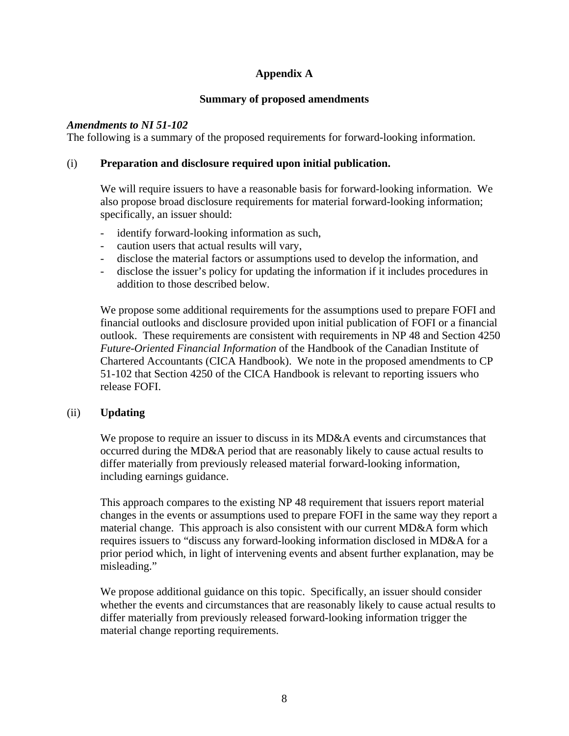## **Appendix A**

## **Summary of proposed amendments**

## *Amendments to NI 51-102*

The following is a summary of the proposed requirements for forward-looking information.

## (i) **Preparation and disclosure required upon initial publication.**

We will require issuers to have a reasonable basis for forward-looking information. We also propose broad disclosure requirements for material forward-looking information; specifically, an issuer should:

- identify forward-looking information as such,
- caution users that actual results will vary,
- disclose the material factors or assumptions used to develop the information, and
- disclose the issuer's policy for updating the information if it includes procedures in addition to those described below.

We propose some additional requirements for the assumptions used to prepare FOFI and financial outlooks and disclosure provided upon initial publication of FOFI or a financial outlook. These requirements are consistent with requirements in NP 48 and Section 4250 *Future-Oriented Financial Information* of the Handbook of the Canadian Institute of Chartered Accountants (CICA Handbook). We note in the proposed amendments to CP 51-102 that Section 4250 of the CICA Handbook is relevant to reporting issuers who release FOFI.

## (ii) **Updating**

We propose to require an issuer to discuss in its MD&A events and circumstances that occurred during the MD&A period that are reasonably likely to cause actual results to differ materially from previously released material forward-looking information, including earnings guidance.

This approach compares to the existing NP 48 requirement that issuers report material changes in the events or assumptions used to prepare FOFI in the same way they report a material change. This approach is also consistent with our current MD&A form which requires issuers to "discuss any forward-looking information disclosed in MD&A for a prior period which, in light of intervening events and absent further explanation, may be misleading."

We propose additional guidance on this topic. Specifically, an issuer should consider whether the events and circumstances that are reasonably likely to cause actual results to differ materially from previously released forward-looking information trigger the material change reporting requirements.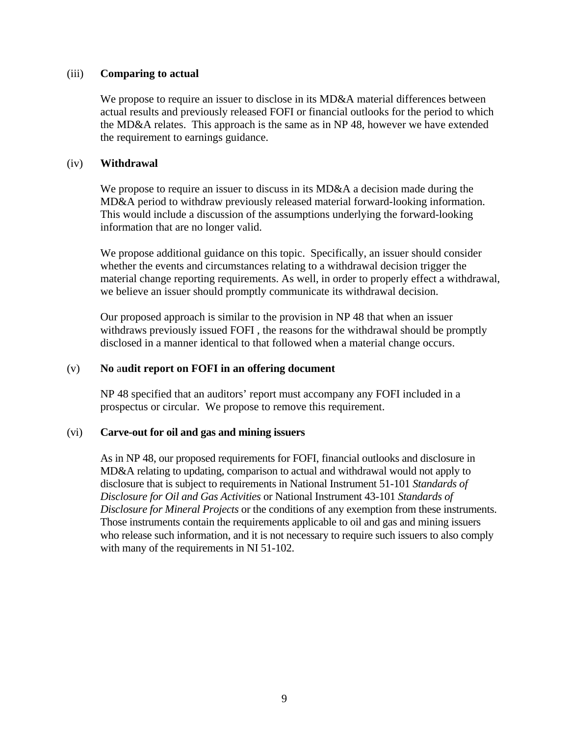#### (iii) **Comparing to actual**

We propose to require an issuer to disclose in its MD&A material differences between actual results and previously released FOFI or financial outlooks for the period to which the MD&A relates. This approach is the same as in NP 48, however we have extended the requirement to earnings guidance.

#### (iv) **Withdrawal**

We propose to require an issuer to discuss in its MD&A a decision made during the MD&A period to withdraw previously released material forward-looking information. This would include a discussion of the assumptions underlying the forward-looking information that are no longer valid.

We propose additional guidance on this topic. Specifically, an issuer should consider whether the events and circumstances relating to a withdrawal decision trigger the material change reporting requirements. As well, in order to properly effect a withdrawal, we believe an issuer should promptly communicate its withdrawal decision.

Our proposed approach is similar to the provision in NP 48 that when an issuer withdraws previously issued FOFI , the reasons for the withdrawal should be promptly disclosed in a manner identical to that followed when a material change occurs.

#### (v) **No** a**udit report on FOFI in an offering document**

NP 48 specified that an auditors' report must accompany any FOFI included in a prospectus or circular. We propose to remove this requirement.

#### (vi) **Carve-out for oil and gas and mining issuers**

As in NP 48, our proposed requirements for FOFI, financial outlooks and disclosure in MD&A relating to updating, comparison to actual and withdrawal would not apply to disclosure that is subject to requirements in National Instrument 51-101 *Standards of Disclosure for Oil and Gas Activities* or National Instrument 43-101 *Standards of Disclosure for Mineral Projects* or the conditions of any exemption from these instruments. Those instruments contain the requirements applicable to oil and gas and mining issuers who release such information, and it is not necessary to require such issuers to also comply with many of the requirements in NI 51-102.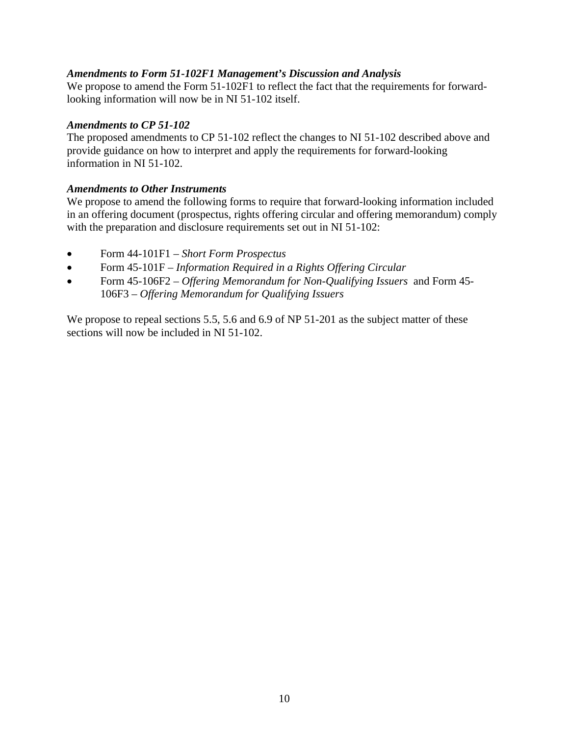## *Amendments to Form 51-102F1 Management's Discussion and Analysis*

We propose to amend the Form 51-102F1 to reflect the fact that the requirements for forwardlooking information will now be in NI 51-102 itself.

## *Amendments to CP 51-102*

The proposed amendments to CP 51-102 reflect the changes to NI 51-102 described above and provide guidance on how to interpret and apply the requirements for forward-looking information in NI 51-102.

## *Amendments to Other Instruments*

We propose to amend the following forms to require that forward-looking information included in an offering document (prospectus, rights offering circular and offering memorandum) comply with the preparation and disclosure requirements set out in NI 51-102:

- Form 44-101F1 *Short Form Prospectus*
- Form 45-101F *Information Required in a Rights Offering Circular*
- Form 45-106F2 *Offering Memorandum for Non-Qualifying Issuers* and Form 45- 106F3 – *Offering Memorandum for Qualifying Issuers*

We propose to repeal sections 5.5, 5.6 and 6.9 of NP 51-201 as the subject matter of these sections will now be included in NI 51-102.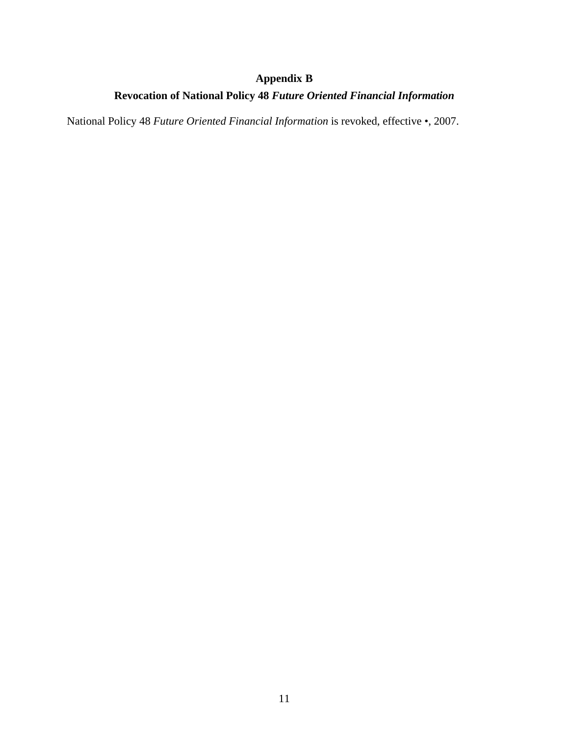# **Appendix B**

# **Revocation of National Policy 48** *Future Oriented Financial Information*

National Policy 48 *Future Oriented Financial Information* is revoked, effective •, 2007.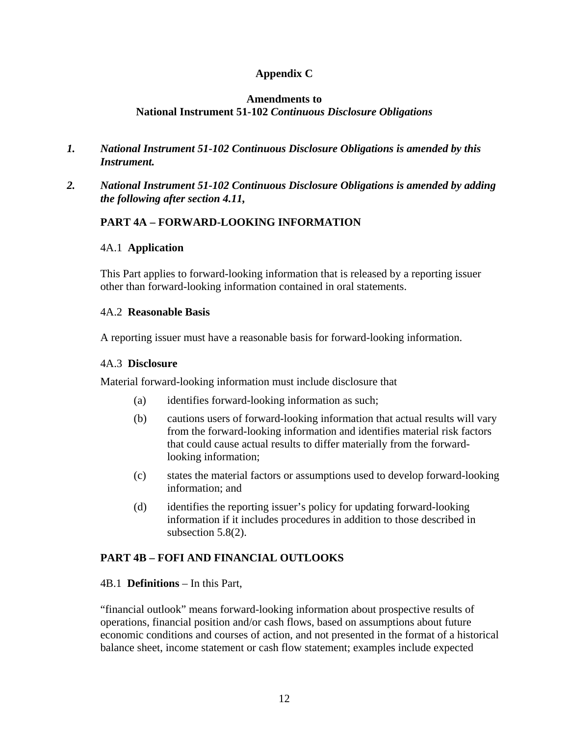# **Appendix C**

## **Amendments to National Instrument 51-102** *Continuous Disclosure Obligations*

- *1. National Instrument 51-102 Continuous Disclosure Obligations is amended by this Instrument.*
- *2. National Instrument 51-102 Continuous Disclosure Obligations is amended by adding the following after section 4.11,*

# **PART 4A – FORWARD-LOOKING INFORMATION**

## 4A.1 **Application**

This Part applies to forward-looking information that is released by a reporting issuer other than forward-looking information contained in oral statements.

## 4A.2 **Reasonable Basis**

A reporting issuer must have a reasonable basis for forward-looking information.

## 4A.3 **Disclosure**

Material forward-looking information must include disclosure that

- (a) identifies forward-looking information as such;
- (b) cautions users of forward-looking information that actual results will vary from the forward-looking information and identifies material risk factors that could cause actual results to differ materially from the forwardlooking information;
- (c) states the material factors or assumptions used to develop forward-looking information; and
- (d) identifies the reporting issuer's policy for updating forward-looking information if it includes procedures in addition to those described in subsection 5.8(2).

## **PART 4B – FOFI AND FINANCIAL OUTLOOKS**

## 4B.1 **Definitions** – In this Part,

"financial outlook" means forward-looking information about prospective results of operations, financial position and/or cash flows, based on assumptions about future economic conditions and courses of action, and not presented in the format of a historical balance sheet, income statement or cash flow statement; examples include expected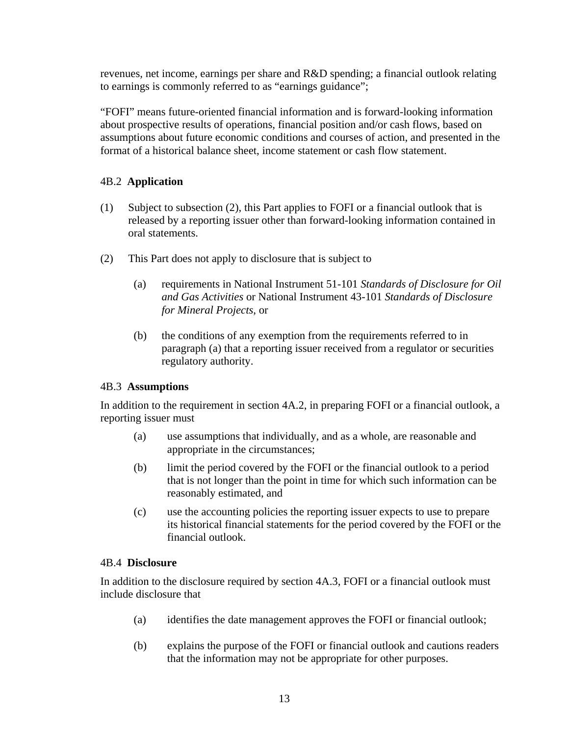revenues, net income, earnings per share and R&D spending; a financial outlook relating to earnings is commonly referred to as "earnings guidance";

"FOFI" means future-oriented financial information and is forward-looking information about prospective results of operations, financial position and/or cash flows, based on assumptions about future economic conditions and courses of action, and presented in the format of a historical balance sheet, income statement or cash flow statement.

# 4B.2 **Application**

- (1) Subject to subsection (2), this Part applies to FOFI or a financial outlook that is released by a reporting issuer other than forward-looking information contained in oral statements.
- (2) This Part does not apply to disclosure that is subject to
	- (a) requirements in National Instrument 51-101 *Standards of Disclosure for Oil and Gas Activities* or National Instrument 43-101 *Standards of Disclosure for Mineral Projects*, or
	- (b) the conditions of any exemption from the requirements referred to in paragraph (a) that a reporting issuer received from a regulator or securities regulatory authority.

## 4B.3 **Assumptions**

In addition to the requirement in section 4A.2, in preparing FOFI or a financial outlook, a reporting issuer must

- (a) use assumptions that individually, and as a whole, are reasonable and appropriate in the circumstances;
- (b) limit the period covered by the FOFI or the financial outlook to a period that is not longer than the point in time for which such information can be reasonably estimated, and
- (c) use the accounting policies the reporting issuer expects to use to prepare its historical financial statements for the period covered by the FOFI or the financial outlook.

## 4B.4 **Disclosure**

In addition to the disclosure required by section 4A.3, FOFI or a financial outlook must include disclosure that

- (a) identifies the date management approves the FOFI or financial outlook;
- (b) explains the purpose of the FOFI or financial outlook and cautions readers that the information may not be appropriate for other purposes.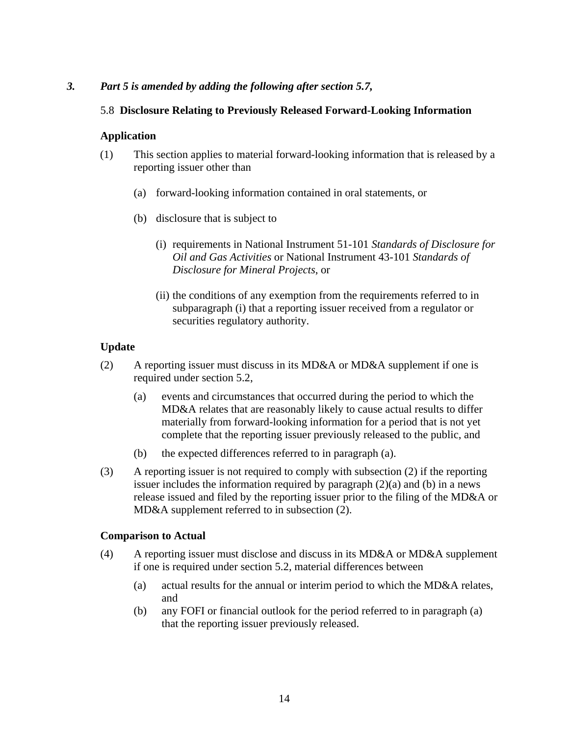## *3. Part 5 is amended by adding the following after section 5.7,*

## 5.8 **Disclosure Relating to Previously Released Forward-Looking Information**

## **Application**

- (1) This section applies to material forward-looking information that is released by a reporting issuer other than
	- (a) forward-looking information contained in oral statements, or
	- (b) disclosure that is subject to
		- (i) requirements in National Instrument 51-101 *Standards of Disclosure for Oil and Gas Activities* or National Instrument 43-101 *Standards of Disclosure for Mineral Projects*, or
		- (ii) the conditions of any exemption from the requirements referred to in subparagraph (i) that a reporting issuer received from a regulator or securities regulatory authority.

## **Update**

- (2) A reporting issuer must discuss in its MD&A or MD&A supplement if one is required under section 5.2,
	- (a) events and circumstances that occurred during the period to which the MD&A relates that are reasonably likely to cause actual results to differ materially from forward-looking information for a period that is not yet complete that the reporting issuer previously released to the public, and
	- (b) the expected differences referred to in paragraph (a).
- (3) A reporting issuer is not required to comply with subsection (2) if the reporting issuer includes the information required by paragraph (2)(a) and (b) in a news release issued and filed by the reporting issuer prior to the filing of the MD&A or MD&A supplement referred to in subsection (2).

## **Comparison to Actual**

- (4) A reporting issuer must disclose and discuss in its MD&A or MD&A supplement if one is required under section 5.2, material differences between
	- (a) actual results for the annual or interim period to which the MD&A relates, and
	- (b) any FOFI or financial outlook for the period referred to in paragraph (a) that the reporting issuer previously released.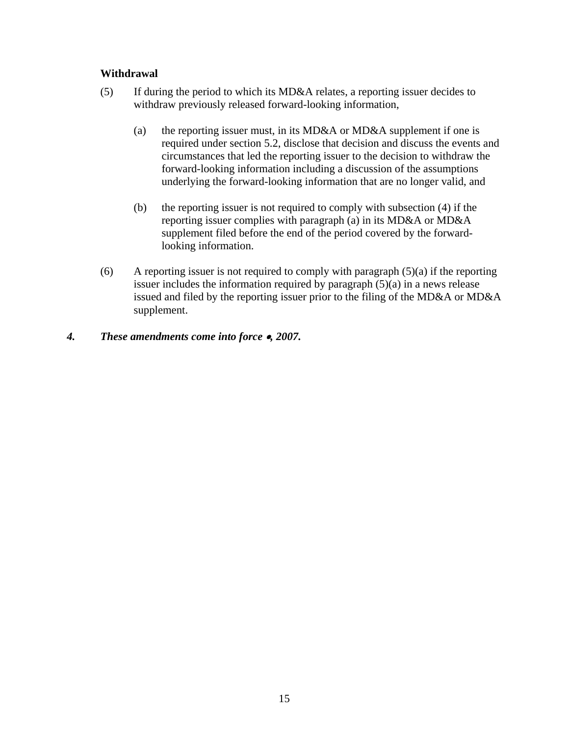## **Withdrawal**

- (5) If during the period to which its MD&A relates, a reporting issuer decides to withdraw previously released forward-looking information,
	- (a) the reporting issuer must, in its MD&A or MD&A supplement if one is required under section 5.2, disclose that decision and discuss the events and circumstances that led the reporting issuer to the decision to withdraw the forward-looking information including a discussion of the assumptions underlying the forward-looking information that are no longer valid, and
	- (b) the reporting issuer is not required to comply with subsection (4) if the reporting issuer complies with paragraph (a) in its MD&A or MD&A supplement filed before the end of the period covered by the forwardlooking information.
- (6) A reporting issuer is not required to comply with paragraph  $(5)(a)$  if the reporting issuer includes the information required by paragraph (5)(a) in a news release issued and filed by the reporting issuer prior to the filing of the MD&A or MD&A supplement.

## *4. These amendments come into force* •*, 2007.*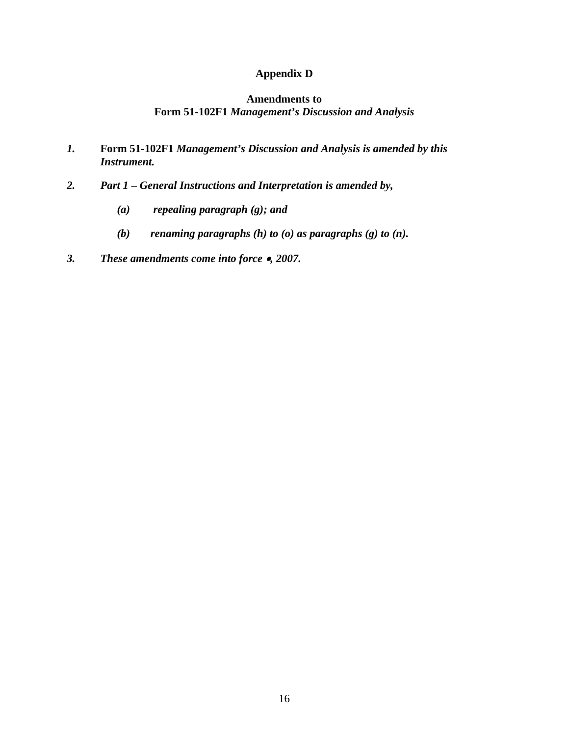# **Appendix D**

## **Amendments to Form 51-102F1** *Management's Discussion and Analysis*

- *1.* **Form 51-102F1** *Management's Discussion and Analysis is amended by this Instrument.*
- *2. Part 1 General Instructions and Interpretation is amended by,* 
	- *(a) repealing paragraph (g); and*
	- *(b) renaming paragraphs (h) to (o) as paragraphs (g) to (n).*
- *3. These amendments come into force* •*, 2007.*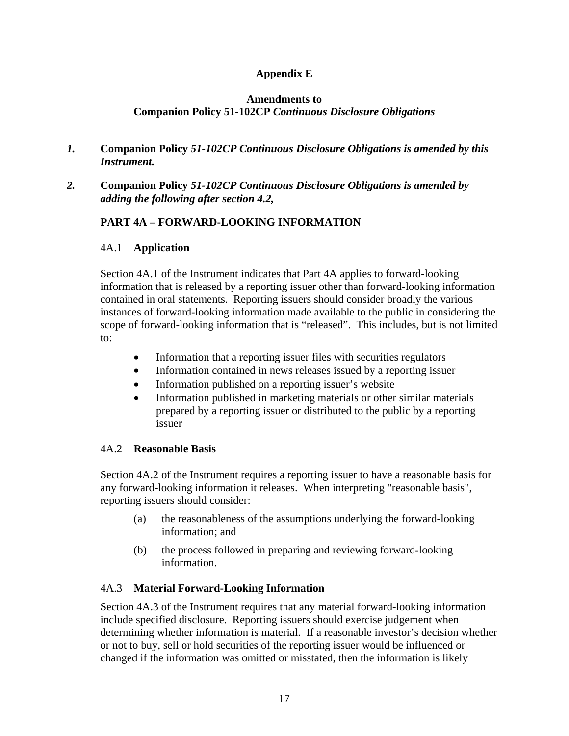# **Appendix E**

## **Amendments to Companion Policy 51-102CP** *Continuous Disclosure Obligations*

- *1.* **Companion Policy** *51-102CP Continuous Disclosure Obligations is amended by this Instrument.*
- *2.* **Companion Policy** *51-102CP Continuous Disclosure Obligations is amended by adding the following after section 4.2,*

# **PART 4A – FORWARD-LOOKING INFORMATION**

## 4A.1 **Application**

Section 4A.1 of the Instrument indicates that Part 4A applies to forward-looking information that is released by a reporting issuer other than forward-looking information contained in oral statements. Reporting issuers should consider broadly the various instances of forward-looking information made available to the public in considering the scope of forward-looking information that is "released". This includes, but is not limited to:

- Information that a reporting issuer files with securities regulators
- Information contained in news releases issued by a reporting issuer
- Information published on a reporting issuer's website
- Information published in marketing materials or other similar materials prepared by a reporting issuer or distributed to the public by a reporting issuer

## 4A.2 **Reasonable Basis**

Section 4A.2 of the Instrument requires a reporting issuer to have a reasonable basis for any forward-looking information it releases. When interpreting "reasonable basis", reporting issuers should consider:

- (a) the reasonableness of the assumptions underlying the forward-looking information; and
- (b) the process followed in preparing and reviewing forward-looking information.

## 4A.3 **Material Forward-Looking Information**

Section 4A.3 of the Instrument requires that any material forward-looking information include specified disclosure. Reporting issuers should exercise judgement when determining whether information is material. If a reasonable investor's decision whether or not to buy, sell or hold securities of the reporting issuer would be influenced or changed if the information was omitted or misstated, then the information is likely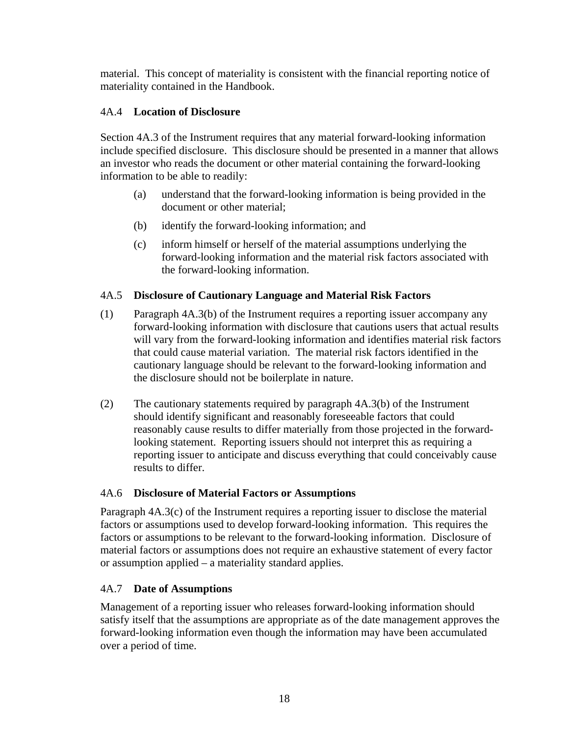material. This concept of materiality is consistent with the financial reporting notice of materiality contained in the Handbook.

# 4A.4 **Location of Disclosure**

Section 4A.3 of the Instrument requires that any material forward-looking information include specified disclosure. This disclosure should be presented in a manner that allows an investor who reads the document or other material containing the forward-looking information to be able to readily:

- (a) understand that the forward-looking information is being provided in the document or other material;
- (b) identify the forward-looking information; and
- (c) inform himself or herself of the material assumptions underlying the forward-looking information and the material risk factors associated with the forward-looking information.

# 4A.5 **Disclosure of Cautionary Language and Material Risk Factors**

- (1) Paragraph 4A.3(b) of the Instrument requires a reporting issuer accompany any forward-looking information with disclosure that cautions users that actual results will vary from the forward-looking information and identifies material risk factors that could cause material variation. The material risk factors identified in the cautionary language should be relevant to the forward-looking information and the disclosure should not be boilerplate in nature.
- (2) The cautionary statements required by paragraph 4A.3(b) of the Instrument should identify significant and reasonably foreseeable factors that could reasonably cause results to differ materially from those projected in the forwardlooking statement. Reporting issuers should not interpret this as requiring a reporting issuer to anticipate and discuss everything that could conceivably cause results to differ.

## 4A.6 **Disclosure of Material Factors or Assumptions**

Paragraph 4A.3(c) of the Instrument requires a reporting issuer to disclose the material factors or assumptions used to develop forward-looking information. This requires the factors or assumptions to be relevant to the forward-looking information. Disclosure of material factors or assumptions does not require an exhaustive statement of every factor or assumption applied – a materiality standard applies.

# 4A.7 **Date of Assumptions**

Management of a reporting issuer who releases forward-looking information should satisfy itself that the assumptions are appropriate as of the date management approves the forward-looking information even though the information may have been accumulated over a period of time.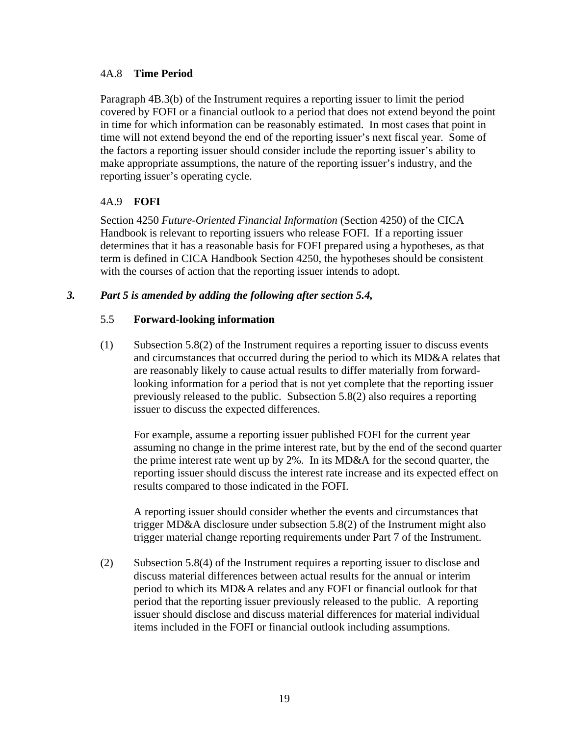## 4A.8 **Time Period**

Paragraph 4B.3(b) of the Instrument requires a reporting issuer to limit the period covered by FOFI or a financial outlook to a period that does not extend beyond the point in time for which information can be reasonably estimated. In most cases that point in time will not extend beyond the end of the reporting issuer's next fiscal year. Some of the factors a reporting issuer should consider include the reporting issuer's ability to make appropriate assumptions, the nature of the reporting issuer's industry, and the reporting issuer's operating cycle.

## 4A.9 **FOFI**

Section 4250 *Future-Oriented Financial Information* (Section 4250) of the CICA Handbook is relevant to reporting issuers who release FOFI. If a reporting issuer determines that it has a reasonable basis for FOFI prepared using a hypotheses, as that term is defined in CICA Handbook Section 4250, the hypotheses should be consistent with the courses of action that the reporting issuer intends to adopt.

## *3. Part 5 is amended by adding the following after section 5.4,*

## 5.5 **Forward-looking information**

(1) Subsection 5.8(2) of the Instrument requires a reporting issuer to discuss events and circumstances that occurred during the period to which its MD&A relates that are reasonably likely to cause actual results to differ materially from forwardlooking information for a period that is not yet complete that the reporting issuer previously released to the public. Subsection 5.8(2) also requires a reporting issuer to discuss the expected differences.

For example, assume a reporting issuer published FOFI for the current year assuming no change in the prime interest rate, but by the end of the second quarter the prime interest rate went up by 2%. In its MD&A for the second quarter, the reporting issuer should discuss the interest rate increase and its expected effect on results compared to those indicated in the FOFI.

A reporting issuer should consider whether the events and circumstances that trigger MD&A disclosure under subsection 5.8(2) of the Instrument might also trigger material change reporting requirements under Part 7 of the Instrument.

(2) Subsection 5.8(4) of the Instrument requires a reporting issuer to disclose and discuss material differences between actual results for the annual or interim period to which its MD&A relates and any FOFI or financial outlook for that period that the reporting issuer previously released to the public. A reporting issuer should disclose and discuss material differences for material individual items included in the FOFI or financial outlook including assumptions.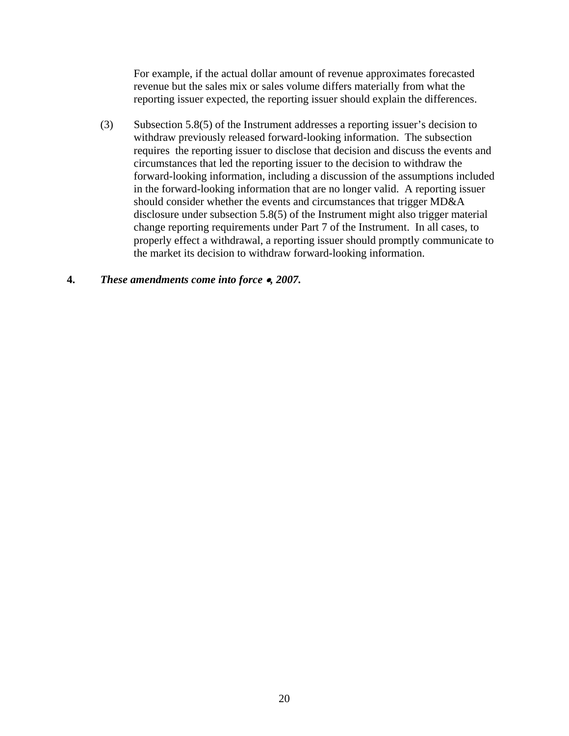For example, if the actual dollar amount of revenue approximates forecasted revenue but the sales mix or sales volume differs materially from what the reporting issuer expected, the reporting issuer should explain the differences.

(3) Subsection 5.8(5) of the Instrument addresses a reporting issuer's decision to withdraw previously released forward-looking information. The subsection requires the reporting issuer to disclose that decision and discuss the events and circumstances that led the reporting issuer to the decision to withdraw the forward-looking information, including a discussion of the assumptions included in the forward-looking information that are no longer valid. A reporting issuer should consider whether the events and circumstances that trigger MD&A disclosure under subsection 5.8(5) of the Instrument might also trigger material change reporting requirements under Part 7 of the Instrument. In all cases, to properly effect a withdrawal, a reporting issuer should promptly communicate to the market its decision to withdraw forward-looking information.

## **4.** *These amendments come into force* •*, 2007.*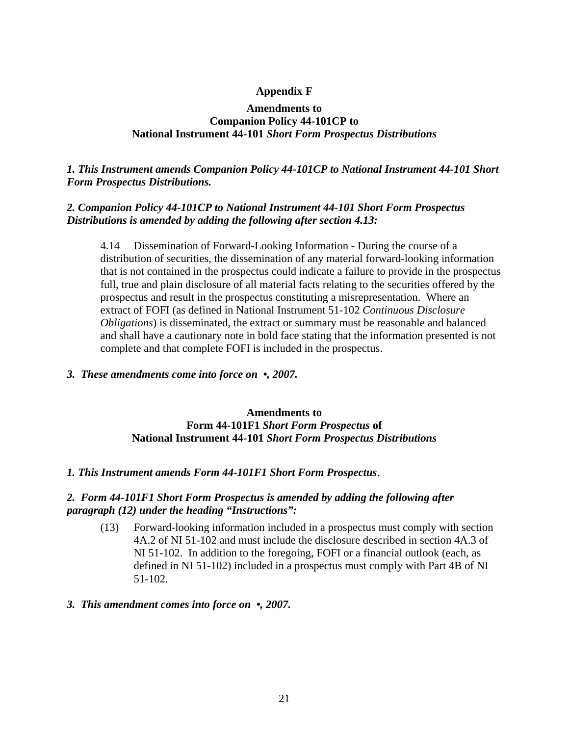## **Appendix F**

#### **Amendments to Companion Policy 44-101CP to National Instrument 44-101** *Short Form Prospectus Distributions*

## *1. This Instrument amends Companion Policy 44-101CP to National Instrument 44-101 Short Form Prospectus Distributions.*

## *2. Companion Policy 44-101CP to National Instrument 44-101 Short Form Prospectus Distributions is amended by adding the following after section 4.13:*

4.14 Dissemination of Forward-Looking Information - During the course of a distribution of securities, the dissemination of any material forward-looking information that is not contained in the prospectus could indicate a failure to provide in the prospectus full, true and plain disclosure of all material facts relating to the securities offered by the prospectus and result in the prospectus constituting a misrepresentation. Where an extract of FOFI (as defined in National Instrument 51-102 *Continuous Disclosure Obligations*) is disseminated, the extract or summary must be reasonable and balanced and shall have a cautionary note in bold face stating that the information presented is not complete and that complete FOFI is included in the prospectus.

## *3. These amendments come into force on •, 2007.*

## **Amendments to Form 44-101F1** *Short Form Prospectus* **of National Instrument 44-101** *Short Form Prospectus Distributions*

## *1. This Instrument amends Form 44-101F1 Short Form Prospectus*.

## *2. Form 44-101F1 Short Form Prospectus is amended by adding the following after paragraph (12) under the heading "Instructions":*

(13) Forward-looking information included in a prospectus must comply with section 4A.2 of NI 51-102 and must include the disclosure described in section 4A.3 of NI 51-102. In addition to the foregoing, FOFI or a financial outlook (each, as defined in NI 51-102) included in a prospectus must comply with Part 4B of NI 51-102.

## *3. This amendment comes into force on •, 2007.*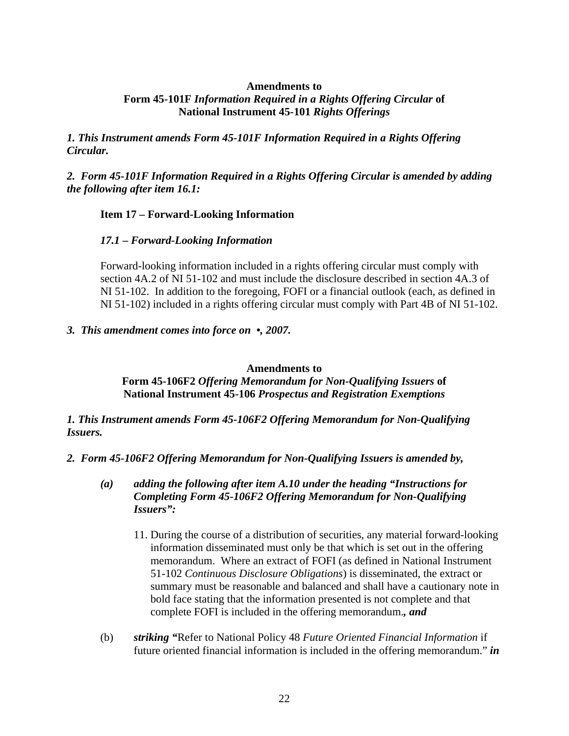#### **Amendments to**

## **Form 45-101F** *Information Required in a Rights Offering Circular* **of National Instrument 45-101** *Rights Offerings*

*1. This Instrument amends Form 45-101F Information Required in a Rights Offering Circular.* 

*2. Form 45-101F Information Required in a Rights Offering Circular is amended by adding the following after item 16.1:* 

## **Item 17 – Forward-Looking Information**

## *17.1* **–** *Forward-Looking Information*

Forward-looking information included in a rights offering circular must comply with section 4A.2 of NI 51-102 and must include the disclosure described in section 4A.3 of NI 51-102. In addition to the foregoing, FOFI or a financial outlook (each, as defined in NI 51-102) included in a rights offering circular must comply with Part 4B of NI 51-102.

#### *3. This amendment comes into force on •, 2007.*

**Amendments to** 

**Form 45-106F2** *Offering Memorandum for Non-Qualifying Issuers* **of National Instrument 45-106** *Prospectus and Registration Exemptions*

*1. This Instrument amends Form 45-106F2 Offering Memorandum for Non-Qualifying Issuers.* 

- *2. Form 45-106F2 Offering Memorandum for Non-Qualifying Issuers is amended by,* 
	- *(a) adding the following after item A.10 under the heading "Instructions for Completing Form 45-106F2 Offering Memorandum for Non-Qualifying Issuers":* 
		- 11. During the course of a distribution of securities, any material forward-looking information disseminated must only be that which is set out in the offering memorandum. Where an extract of FOFI (as defined in National Instrument 51-102 *Continuous Disclosure Obligations*) is disseminated, the extract or summary must be reasonable and balanced and shall have a cautionary note in bold face stating that the information presented is not complete and that complete FOFI is included in the offering memorandum.*, and*
	- (b) *striking "*Refer to National Policy 48 *Future Oriented Financial Information* if future oriented financial information is included in the offering memorandum." *in*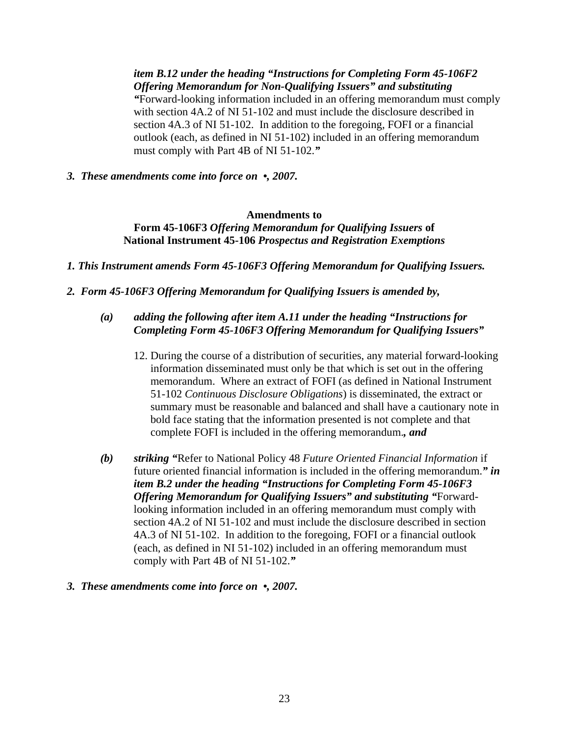*item B.12 under the heading "Instructions for Completing Form 45-106F2 Offering Memorandum for Non-Qualifying Issuers" and substituting "*Forward-looking information included in an offering memorandum must comply with section 4A.2 of NI 51-102 and must include the disclosure described in section 4A.3 of NI 51-102. In addition to the foregoing, FOFI or a financial outlook (each, as defined in NI 51-102) included in an offering memorandum must comply with Part 4B of NI 51-102.*"*

*3. These amendments come into force on •, 2007.* 

## **Amendments to Form 45-106F3** *Offering Memorandum for Qualifying Issuers* **of National Instrument 45-106** *Prospectus and Registration Exemptions*

*1. This Instrument amends Form 45-106F3 Offering Memorandum for Qualifying Issuers.* 

*2. Form 45-106F3 Offering Memorandum for Qualifying Issuers is amended by,* 

# *(a) adding the following after item A.11 under the heading "Instructions for Completing Form 45-106F3 Offering Memorandum for Qualifying Issuers"*

- 12. During the course of a distribution of securities, any material forward-looking information disseminated must only be that which is set out in the offering memorandum. Where an extract of FOFI (as defined in National Instrument 51-102 *Continuous Disclosure Obligations*) is disseminated, the extract or summary must be reasonable and balanced and shall have a cautionary note in bold face stating that the information presented is not complete and that complete FOFI is included in the offering memorandum.*, and*
- *(b) striking "*Refer to National Policy 48 *Future Oriented Financial Information* if future oriented financial information is included in the offering memorandum.*" in item B.2 under the heading "Instructions for Completing Form 45-106F3 Offering Memorandum for Qualifying Issuers" and substituting "*Forwardlooking information included in an offering memorandum must comply with section 4A.2 of NI 51-102 and must include the disclosure described in section 4A.3 of NI 51-102. In addition to the foregoing, FOFI or a financial outlook (each, as defined in NI 51-102) included in an offering memorandum must comply with Part 4B of NI 51-102.*"*

## *3. These amendments come into force on •, 2007.*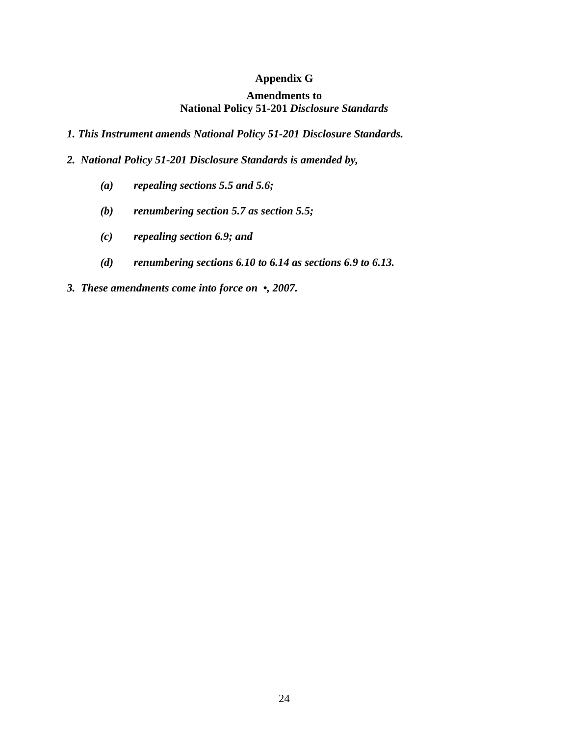# **Appendix G**

## **Amendments to National Policy 51-201** *Disclosure Standards*

- *1. This Instrument amends National Policy 51-201 Disclosure Standards.*
- *2. National Policy 51-201 Disclosure Standards is amended by,* 
	- *(a) repealing sections 5.5 and 5.6;*
	- *(b) renumbering section 5.7 as section 5.5;*
	- *(c) repealing section 6.9; and*
	- *(d) renumbering sections 6.10 to 6.14 as sections 6.9 to 6.13.*
- *3. These amendments come into force on •, 2007.*